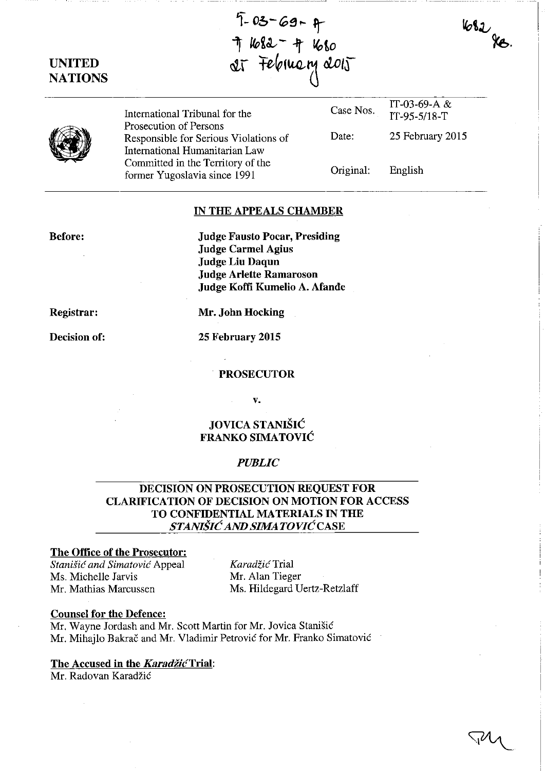# UNITED NATIONS

 $5 - 03 - 69 - 9$ 开 1682 - 4 1680 at February 2015



International Tribunal for the Prosecution of Persons Responsible for Serious Violations of International Humanitarian Law Committed in the Territory of the former Yugoslavia since 1991

Case Nos. Date: IT-95-5/18-T 25 February 2015

IT-03-69-A &

 $682$  ge.

Original: English

## IN THE APPEALS CHAMBER

### Before:

Judge Fausto Pocar, Presiding Judge Carmel Agius Judge Liu Daqun Judge Arlette Ramaroson Judge Koffi Kumelio A. Afande

Registrar:

Decision of:

Mr. John Hocking

25 February 2015

#### PROSECUTOR

v.

# JOVICA STANIŠIĆ FRANKO SIMATOVIC

#### *PUBLIC*

# DECISION ON PROSECUTION REQUEST FOR CLARIFICATION OF DECISION ON MOTION FOR ACCESS TO CONFIDENTIAL MATERIALS IN THE  $STANIŠIČ AND SIMATOVIČ CASE$

## The Office of the Prosecutor:

*Stanish: and Simatovic* Appeal Ms. Michelle Jarvis Mr. Mathias Marcussen

*Karadzic* Trial Mr. Alan Tieger Ms. Hildegard Vertz-Retzlaff

#### Counsel for the Defence:

Mr. Wayne Jordash and Mr. Scott Martin for Mr. Jovica Stanisic Mr. Mihajlo Bakrac and Mr. Vladimir Petrovic for Mr. Franko Simatovic

#### The Accused in the **Karadžić** Trial:

Mr. Radovan Karadzic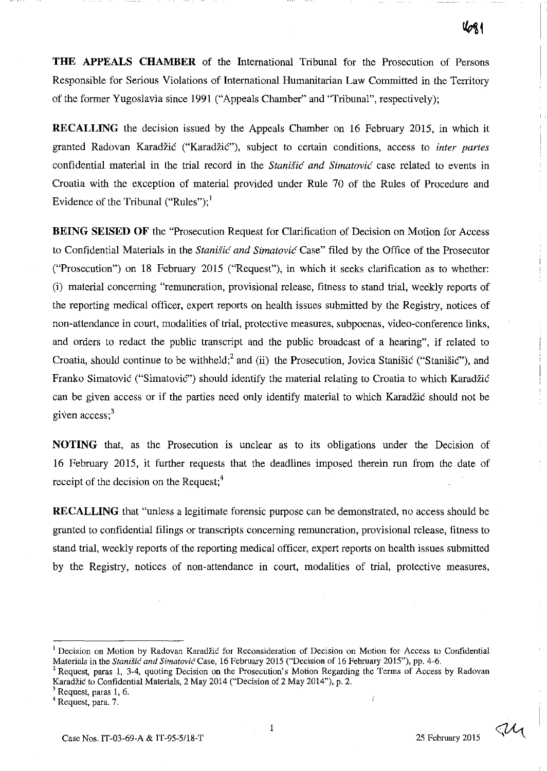**THE APPEALS CHAMBER** of the International Tribunal for the Prosecution of Persons Responsible for Serious Violations of International Humanitarian Law Committed in the Territory of the former Yugoslavia since 1991 ("Appeals Chamber" and "Tribunal", respectively);

**RECALLING** the decision issued by the Appeals Chamber on 16 February 2015, in which it granted Radovan Karadžić ("Karadžić"), subject to certain conditions, access to *inter partes* confidential material in the trial record in the *Stanišić and Simatović* case related to events in Croatia with the exception of material provided under Rule 70 of the Rules of Procedure and Evidence of the Tribunal ("Rules");<sup>1</sup>

**BEING SEISED OF** the "Prosecution Request for Clarification of Decision on Motion for Access to Confidential Materials in the *Stanisi6 and Simatovi6* Case" filed by the Office of the Prosecutor ("Prosecution") on 18 February 2015 ("Request"), in which it seeks clarification as to whether: (i) material concerning "remuneration, provisional release, fitness to stand trial, weekly reports of the reporting medical officer, expert reports on health issues submitted by the Registry, notices of non-attendance in court, modalities of trial, protective measures, subpoenas, video-conference links, and orders to redact the public transcript and the public broadcast of a hearing", if related to Croatia, should continue to be withheld;<sup>2</sup> and (ii) the Prosecution, Jovica Stanisic ("Stanisic"), and Franko Simatovic ("Simatovic") should identify the material relating to Croatia to which Karadzic can be given access or if the parties need only identify material to which Karadzic should not be given access; $<sup>3</sup>$ </sup>

**NOTING** that, as the Prosecution is unclear as to its obligations under the Decision of 16 February 2015, it further requests that the deadlines imposed therein run from the date of receipt of the decision on the Request;<sup>4</sup>

**RECALLING** that "unless a legitimate forensic purpose can be demonstrated, no access should be granted to confidential filings or transcripts concerning remuneration, provisional release, fitness to stand trial, weekly reports of the reporting medical officer, expert reports on health issues submitted by the Registry, notices of non-attendance in court, modalities of trial, protective measures,

ay

<sup>&</sup>lt;sup>1</sup> Decision on Motion by Radovan Karadžić for Reconsideration of Decision on Motion for Access to Confidential Materials in the *Stanišic and Simatovic* Case, 16 February 2015 ("Decision of 16 February 2015"), pp. 4-6.

<sup>&</sup>lt;sup>2</sup> Request, paras 1, 3-4, quoting Decision on the Prosecution's Motion Regarding the Terms of Access by Radovan Karadžić to Confidential Materials, 2 May 2014 ("Decision of 2 May 2014"), p. 2.

<sup>&</sup>lt;sup>3</sup> Request, paras 1, 6.

<sup>4</sup> Request, para. 7.